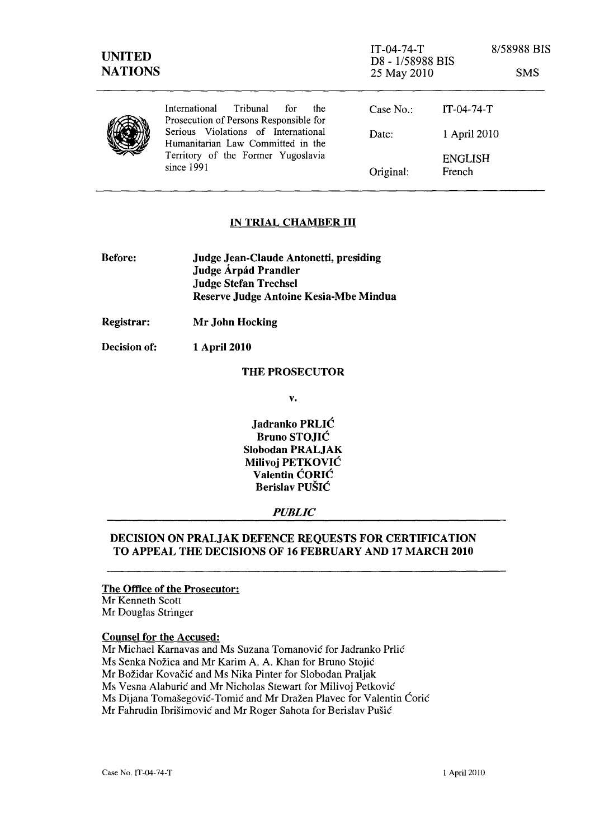| <b>UNITED</b><br><b>NATIONS</b> |                                                                                                                                | $IT-04-74-T$<br>D8 - 1/58988 BIS<br>25 May 2010 |                          | 8/58988 BIS<br><b>SMS</b> |
|---------------------------------|--------------------------------------------------------------------------------------------------------------------------------|-------------------------------------------------|--------------------------|---------------------------|
|                                 | Tribunal<br>International<br>for<br>the<br>Prosecution of Persons Responsible for                                              | Case No.                                        | $IT-04-74-T$             |                           |
|                                 | Serious Violations of International<br>Humanitarian Law Committed in the<br>Territory of the Former Yugoslavia<br>since $1991$ | Date:                                           | 1 April 2010             |                           |
|                                 |                                                                                                                                | Original:                                       | <b>ENGLISH</b><br>French |                           |

#### IN TRIAL CHAMBER III

| <b>Before:</b> | Judge Jean-Claude Antonetti, presiding |  |
|----------------|----------------------------------------|--|
|                | Judge Árpád Prandler                   |  |
|                | <b>Judge Stefan Trechsel</b>           |  |
|                | Reserve Judge Antoine Kesia-Mbe Mindua |  |

Registrar: Mr John Hocking

Decision of: 1 April 2010

#### THE PROSECUTOR

v.

Jadranko PRLIC Bruno STOJIC Slobodan PRALJAK Milivoj PETKOVIC Valentin CORIC Berislav PUSIC

### *PUBLIC*

### DECISION ON PRALJAK DEFENCE REQUESTS FOR CERTIFICATION TO APPEAL THE DECISIONS OF 16 FEBRUARY AND 17 MARCH 2010

# The Office of the Prosecutor:

Mr Kenneth Scott Mr Douglas Stringer

#### Counsel for the Accused:

Mr Michael Karnavas and Ms Suzana Tomanović for Jadranko Prlić Ms Senka Nožica and Mr Karim A. A. Khan for Bruno Stojić Mr Božidar Kovačić and Ms Nika Pinter for Slobodan Praljak Ms Vesna Alaburić and Mr Nicholas Stewart for Milivoj Petković Ms Dijana Tomašegović-Tomić and Mr Dražen Plavec for Valentin Ćorić Mr Fahrudin Ibrisimovic and Mr Roger Sahota for Berislav Pusic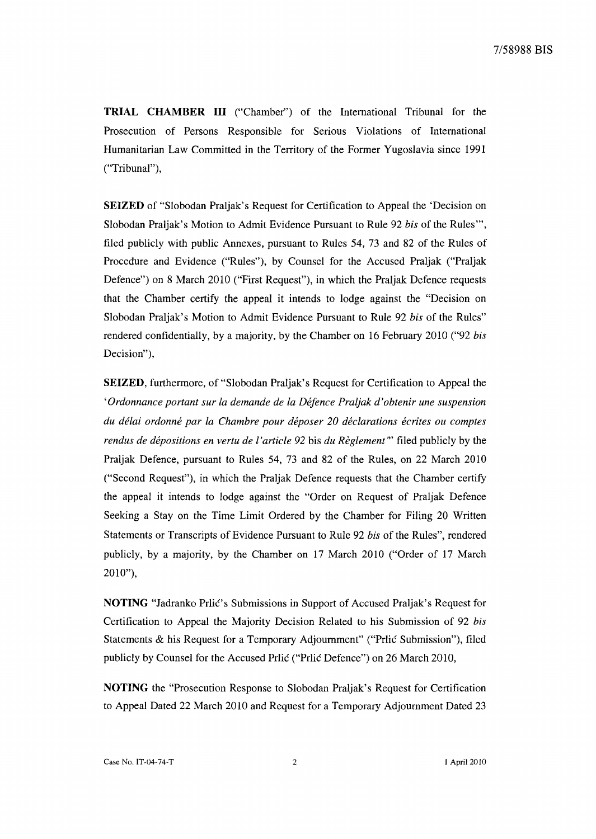**TRIAL CHAMBER III** ("Chamber") of the International Tribunal for the Prosecution of Persons Responsible for Serious Violations of International Humanitarian Law Committed in the Territory of the Former Yugoslavia since 1991 ("Tribunal"),

**SEIZED** of "Slobodan Praljak's Request for Certification to Appeal the 'Decision on Slobodan Praljak's Motion to Admit Evidence Pursuant to Rule 92 *his* of the Rules"', filed publicly with public Annexes, pursuant to Rules 54, 73 and 82 of the Rules of Procedure and Evidence ("Rules"), by Counsel for the Accused Praljak ("Praljak Defence") on 8 March 2010 ("First Request"), in which the Praljak Defence requests that the Chamber certify the appeal it intends to lodge against the "Decision on Slobodan Praljak's Motion to Admit Evidence Pursuant to Rule 92 *bis* of the Rules" rendered confidentially, by a majority, by the Chamber on 16 February 2010 ("92 *bis*  Decision"),

**SEIZED,** furthermore, of "Slobodan Praljak's Request for Certification to Appeal the *'Ordonnance portant sur la demande de la Defence Praljak d'obtenir une suspension du delai ordonne par la Chambre pour deposer 20 declarations ecrites ou comptes rendus de dépositions en vertu de l'article 92 bis <i>du Règlement*" filed publicly by the Praljak Defence, pursuant to Rules 54, 73 and 82 of the Rules, on 22 March 2010 ("Second Request"), in which the Praljak Defence requests that the Chamber certify the appeal it intends to lodge against the "Order on Request of Praljak Defence Seeking a Stay on the Time Limit Ordered by the Chamber for Filing 20 Written Statements or Transcripts of Evidence Pursuant to Rule 92 *bis* of the Rules", rendered publicly, by a majority, by the Chamber on 17 March 2010 ("Order of 17 March 2010"),

**NOTING** "Jadranko Prlic's Submissions in Support of Accused Praljak's Request for Certification to Appeal the Majority Decision Related to his Submission of 92 *his*  Statements & his Request for a Temporary Adjournment" ("Prlic Submission"), filed publicly by Counsel for the Accused Prlic ("Prlic Defence") on 26 March 2010,

**NOTING** the "Prosecution Response to Slobodan Praljak's Request for Certification to Appeal Dated 22 March 2010 and Request for a Temporary Adjournment Dated 23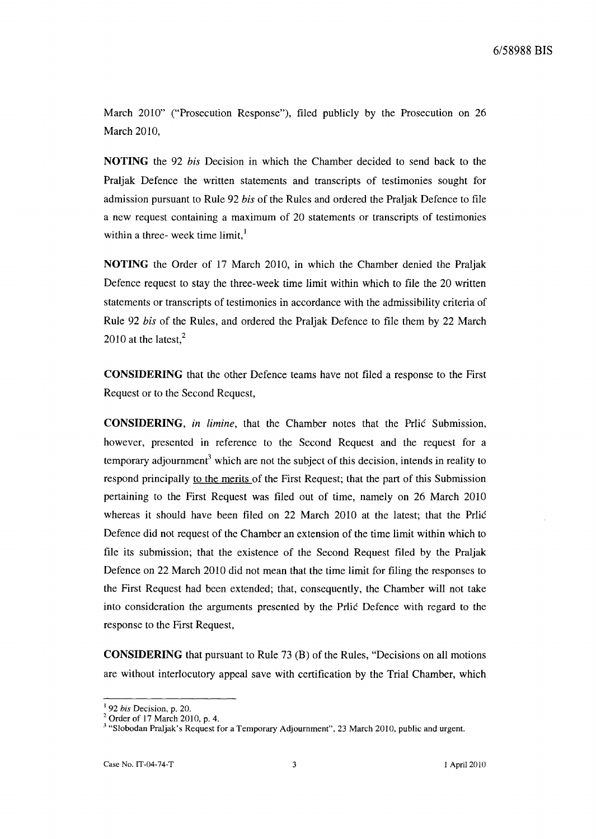March 2010" ("Prosecution Response"), filed publicly by the Prosecution on 26 March 2010,

NOTING the 92 *his* Decision in which the Chamber decided to send back to the Praljak Defence the written statements and transcripts of testimonies sought for admission pursuant to Rule 92 *his* of the Rules and ordered the Praljak Defence to file a new request containing a maximum of 20 statements or transcripts of testimonies within a three- week time  $limit<sub>i</sub>$ <sup>1</sup>

NOTING the Order of 17 March 2010, in which the Chamber denied the Praljak Defence request to stay the three-week time limit within which to file the 20 written statements or transcripts of testimonies in accordance with the admissibility criteria of Rule 92 *his* of the Rules, and ordered the Praljak Defence to file them by 22 March 2010 at the latest, $2$ 

CONSIDERING that the other Defence teams have not filed a response to the First Request or to the Second Request,

CONSIDERING, *in limine,* that the Chamber notes that the Prlic Submission, however, presented in reference to the Second Request and the request for a temporary adjournment<sup>3</sup> which are not the subject of this decision, intends in reality to respond principally to the merits of the First Request; that the part of this Submission pertaining to the First Request was filed out of time, namely on 26 March 2010 whereas it should have been filed on 22 March 2010 at the latest; that the Prlic Defence did not request of the Chamber an extension of the time limit within which to file its submission; that the existence of the Second Request filed by the Praljak Defence on 22 March 2010 did not mean that the time limit for filing the responses to the First Request had been extended; that, consequently, the Chamber will not take into consideration the arguments presented by the Prlic Defence with regard to the response to the First Request,

CONSIDERING that pursuant to Rule 73 (B) of the Rules, "Decisions on all motions are without interlocutory appeal save with certification by the Trial Chamber, which

<sup>I</sup>92 *his* Decision, p. 20.

 $2$  Order of 17 March 2010, p. 4.

<sup>&</sup>lt;sup>3</sup> "Slobodan Praljak's Request for a Temporary Adjournment", 23 March 2010, public and urgent.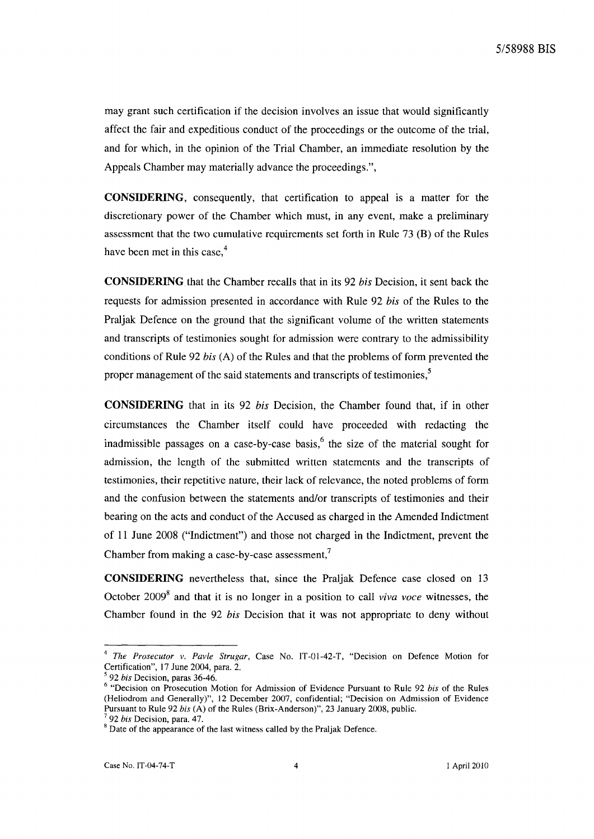may grant such certification if the decision involves an issue that would significantly affect the fair and expeditious conduct of the proceedings or the outcome of the trial, and for which, in the opinion of the Trial Chamber, an immediate resolution by the Appeals Chamber may materially advance the proceedings.",

**CONSIDERING,** consequently, that certification to appeal is a matter for the discretionary power of the Chamber which must, in any event, make a preliminary assessment that the two cumulative requirements set forth in Rule 73 (B) of the Rules have been met in this case,<sup>4</sup>

**CONSIDERING** that the Chamber recalls that in its 92 *his* Decision, it sent back the requests for admission presented in accordance with Rule 92 *his* of the Rules to the Praljak Defence on the ground that the significant volume of the written statements and transcripts of testimonies sought for admission were contrary to the admissibility conditions of Rule 92 *his* (A) of the Rules and that the problems of form prevented the proper management of the said statements and transcripts of testimonies,<sup>5</sup>

**CONSIDERING** that in its 92 *his* Decision, the Chamber found that, if in other circumstances the Chamber itself could have proceeded with redacting the inadmissible passages on a case-by-case basis,<sup>6</sup> the size of the material sought for admission, the length of the submitted written statements and the transcripts of testimonies, their repetitive nature, their lack of relevance, the noted problems of form and the confusion between the statements and/or transcripts of testimonies and their bearing on the acts and conduct of the Accused as charged in the Amended Indictment of 11 June 2008 ("Indictment") and those not charged in the Indictment, prevent the Chamber from making a case-by-case assessment,?

**CONSIDERING** nevertheless that, since the Praljak Defence case closed on 13 October 20098 and that it is no longer in a position to call *viva voce* witnesses, the Chamber found in the 92 *bis* Decision that it was not appropriate to deny without

*<sup>4</sup> The Prosecutor v. Pavle Strugar,* Case No. IT *-01-42-T,* "Decision on Defence Motion for Certification", 17 June 2004, para. 2.

<sup>5 92</sup> *his* Decision, paras 36-46.

<sup>6</sup>"Decision on Prosecution Motion for Admission of Evidence Pursuant to Rule 92 *his* of the Rules (Heliodrom and Generally)", 12 December 2007, confidential; "Decision on Admission of Evidence Pursuant to Rule 92 *his* (A) of the Rules (Brix-Anderson)", 23 January 2008, public. <sup>7</sup>92 *his* Decision, para. 47.

<sup>&</sup>lt;sup>8</sup> Date of the appearance of the last witness called by the Praljak Defence.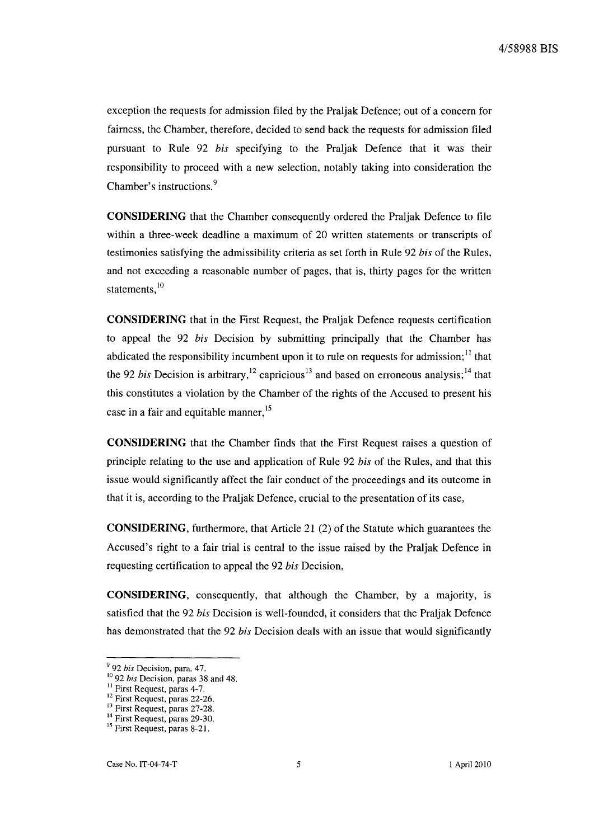exception the requests for admission filed by the Praljak Defence; out of a concern for fairness, the Chamber, therefore, decided to send back the requests for admission filed pursuant to Rule 92 *his* specifying to the Praljak Defence that it was their responsibility to proceed with a new selection, notably taking into consideration the Chamber's instructions. <sup>9</sup>

**CONSIDERING** that the Chamber consequently ordered the Praljak Defence to file within a three-week deadline a maximum of 20 written statements or transcripts of testimonies satisfying the admissibility criteria as set forth in Rule 92 *his* of the Rules, and not exceeding a reasonable number of pages, that is, thirty pages for the written statements.<sup>10</sup>

**CONSIDERING** that in the First Request, the Praljak Defence requests certification to appeal the 92 *his* Decision by submitting principally that the Chamber has abdicated the responsibility incumbent upon it to rule on requests for admission;  $\frac{1}{1}$  that the 92 *bis* Decision is arbitrary,<sup>12</sup> capricious<sup>13</sup> and based on erroneous analysis;<sup>14</sup> that this constitutes a violation by the Chamber of the rights of the Accused to present his case in a fair and equitable manner,<sup>15</sup>

**CONSIDERING** that the Chamber finds that the First Request raises a question of principle relating to the use and application of Rule 92 *his* of the Rules, and that this issue would significantly affect the fair conduct of the proceedings and its outcome in that it is, according to the Praljak Defence, crucial to the presentation of its case,

**CONSIDERING,** furthermore, that Article 21 (2) of the Statute which guarantees the Accused's right to a fair trial is central to the issue raised by the Praljak Defence in requesting certification to appeal the 92 *his* Decision,

**CONSIDERING,** consequently, that although the Chamber, by a majority, is satisfied that the 92 *his* Decision is well-founded, it considers that the Praljak Defence has demonstrated that the 92 *his* Decision deals with an issue that would significantly

<sup>992</sup> *his* Decision, para. 47.

<sup>&</sup>lt;sup>10</sup> 92 *his* Decision, paras 38 and 48.

<sup>&</sup>lt;sup>11</sup> First Request, paras 4-7.

 $^{12}$  First Request, paras 22-26.

<sup>&</sup>lt;sup>13</sup> First Request, paras 27-28.

 $14$  First Request, paras 29-30.

<sup>&</sup>lt;sup>15</sup> First Request, paras 8-21.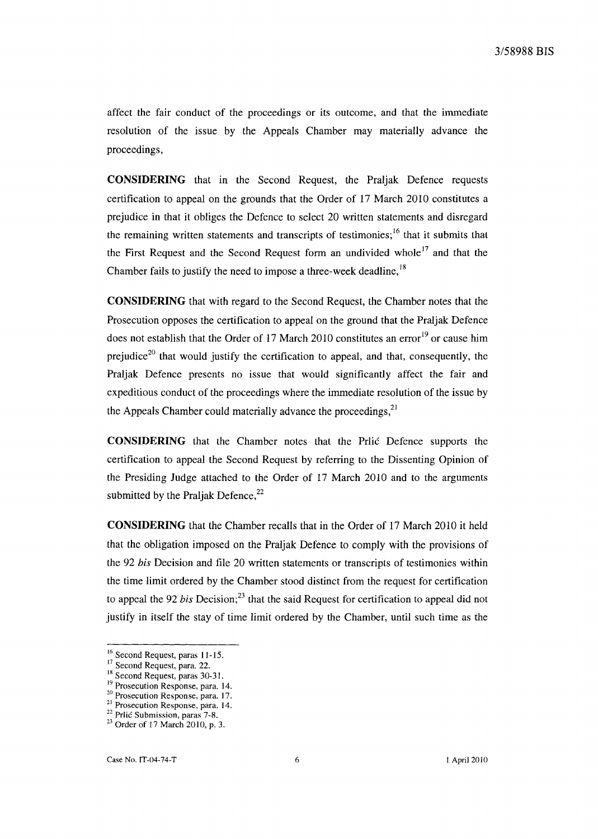affect the fair conduct of the proceedings or its outcome, and that the immediate resolution of the issue by the Appeals Chamber may materially advance the proceedings,

**CONSIDERING** that in the Second Request, the Praljak Defence requests certification to appeal on the grounds that the Order of 17 March 2010 constitutes a prejudice in that it obliges the Defence to select 20 written statements and disregard the remaining written statements and transcripts of testimonies;<sup>16</sup> that it submits that the First Request and the Second Request form an undivided whole<sup>17</sup> and that the Chamber fails to justify the need to impose a three-week deadline,<sup>18</sup>

**CONSIDERING** that with regard to the Second Request, the Chamber notes that the Prosecution opposes the certification to appeal on the ground that the Praljak Defence does not establish that the Order of 17 March 2010 constitutes an error<sup>19</sup> or cause him prejudice<sup>20</sup> that would justify the certification to appeal, and that, consequently, the Praljak Defence presents no issue that would significantly affect the fair and expeditious conduct of the proceedings where the immediate resolution of the issue by the Appeals Chamber could materially advance the proceedings. $2<sup>1</sup>$ 

**CONSIDERING** that the Chamber notes that the Prlic Defence supports the certification to appeal the Second Request by referring to the Dissenting Opinion of the Presiding Judge attached to the Order of 17 March 2010 and to the arguments submitted by the Praljak Defence, $22$ 

**CONSIDERING** that the Chamber recalls that in the Order of 17 March 2010 it held that the obligation imposed on the Praljak Defence to comply with the provisions of the 92 *his* Decision and file 20 written statements or transcripts of testimonies within the time limit ordered by the Chamber stood distinct from the request for certification to appeal the 92 *bis* Decision;<sup>23</sup> that the said Request for certification to appeal did not justify in itself the stay of time limit ordered by the Chamber, until such time as the

<sup>16</sup> Second Request, paras 11-15.

<sup>&</sup>lt;sup>17</sup> Second Request, para. 22.

<sup>18</sup> Second Request, paras 30-31.

<sup>&</sup>lt;sup>19</sup> Prosecution Response, para. 14.

<sup>&</sup>lt;sup>20</sup> Prosecution Response, para. 17.

<sup>&</sup>lt;sup>21</sup> Prosecution Response, para. 14.

<sup>&</sup>lt;sup>22</sup> Prlic Submission, paras 7-8.

<sup>23</sup> Order of 17 March 2010, p. 3.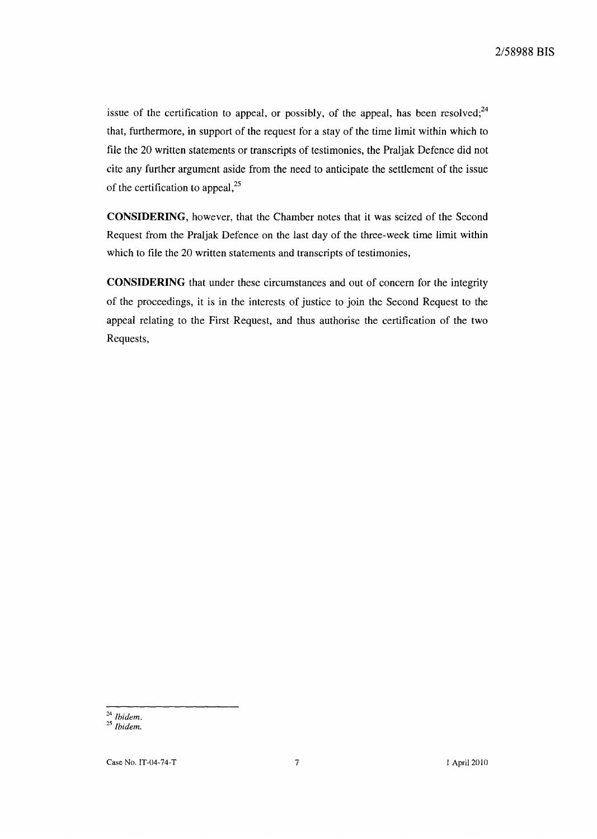issue of the certification to appeal, or possibly, of the appeal, has been resolved; $24$ that, furthermore, in support of the request for a stay of the time limit within which to file the 20 written statements or transcripts of testimonies, the Praljak Defence did not cite any further argument aside from the need to anticipate the settlement of the issue of the certification to appeal, $^{25}$ 

**CONSIDERING,** however, that the Chamber notes that it was seized of the Second Request from the Praljak Defence on the last day of the three-week time limit within which to file the 20 written statements and transcripts of testimonies,

**CONSIDERING** that under these circumstances and out of concern for the integrity of the proceedings, it is in the interests of justice to join the Second Request to the appeal relating to the First Request, and thus authorise the certification of the two Requests,

*<sup>24</sup> Ibidem.* 

*<sup>25</sup> Ibidem.*